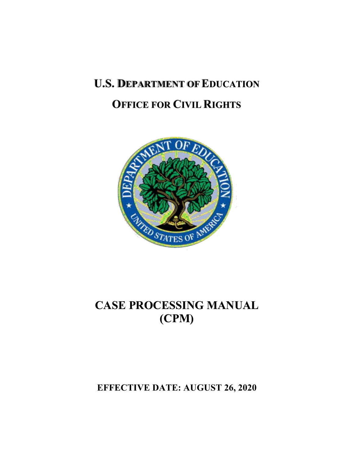# **U.S. DEPARTMENT OF EDUCATION OFFICE FOR CIVIL RIGHTS**



# **CASE PROCESSING MANUAL (CPM)**

**EFFECTIVE DATE: AUGUST 26, 2020**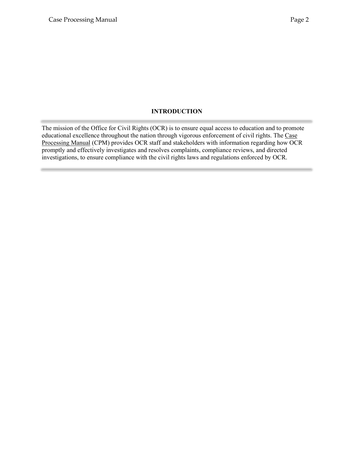### **INTRODUCTION**

<span id="page-1-0"></span>The mission of the Office for Civil Rights (OCR) is to ensure equal access to education and to promote educational excellence throughout the nation through vigorous enforcement of civil rights. The Case Processing Manual (CPM) provides OCR staff and stakeholders with information regarding how OCR promptly and effectively investigates and resolves complaints, compliance reviews, and directed investigations, to ensure compliance with the civil rights laws and regulations enforced by OCR.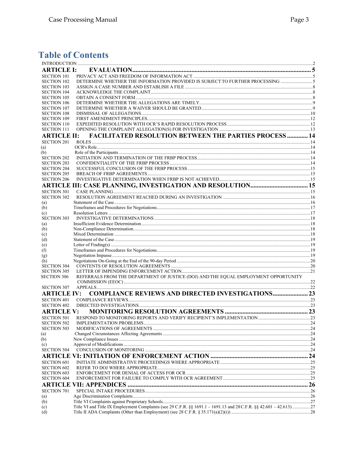## **Table of Contents**

| <b>ARTICLE I:</b>  |                                                                                                                     |  |
|--------------------|---------------------------------------------------------------------------------------------------------------------|--|
| <b>SECTION 101</b> |                                                                                                                     |  |
| <b>SECTION 102</b> | DETERMINE WHETHER THE INFORMATION PROVIDED IS SUBJECT TO FURTHER PROCESSING 5                                       |  |
| <b>SECTION 103</b> |                                                                                                                     |  |
| <b>SECTION 104</b> |                                                                                                                     |  |
| <b>SECTION 105</b> |                                                                                                                     |  |
| <b>SECTION 106</b> |                                                                                                                     |  |
| <b>SECTION 107</b> |                                                                                                                     |  |
| <b>SECTION 108</b> |                                                                                                                     |  |
| <b>SECTION 109</b> |                                                                                                                     |  |
| <b>SECTION 110</b> |                                                                                                                     |  |
| <b>SECTION 111</b> |                                                                                                                     |  |
| <b>ARTICLE II:</b> | <b>FACILITATED RESOLUTION BETWEEN THE PARTIES PROCESS  14</b>                                                       |  |
| <b>SECTION 201</b> |                                                                                                                     |  |
| (a)                |                                                                                                                     |  |
| (b)                |                                                                                                                     |  |
| <b>SECTION 202</b> |                                                                                                                     |  |
| <b>SECTION 203</b> |                                                                                                                     |  |
| <b>SECTION 204</b> |                                                                                                                     |  |
| <b>SECTION 205</b> |                                                                                                                     |  |
| <b>SECTION 206</b> |                                                                                                                     |  |
|                    |                                                                                                                     |  |
| <b>SECTION 301</b> |                                                                                                                     |  |
| <b>SECTION 302</b> |                                                                                                                     |  |
| (a)                |                                                                                                                     |  |
| (b)                |                                                                                                                     |  |
| (c)                |                                                                                                                     |  |
| <b>SECTION 303</b> |                                                                                                                     |  |
| (a)                |                                                                                                                     |  |
| (b)                |                                                                                                                     |  |
| (c)<br>(d)         |                                                                                                                     |  |
| (e)                |                                                                                                                     |  |
| (f)                |                                                                                                                     |  |
| (g)                |                                                                                                                     |  |
| (h)                |                                                                                                                     |  |
| <b>SECTION 304</b> |                                                                                                                     |  |
| <b>SECTION 305</b> |                                                                                                                     |  |
| <b>SECTION 306</b> | REFERRALS FROM THE DEPARTMENT OF JUSTICE (DOJ) AND THE EQUAL EMPLOYMENT OPPORTUNITY                                 |  |
|                    |                                                                                                                     |  |
| <b>SECTION 307</b> |                                                                                                                     |  |
| <b>ARTICLE IV:</b> | <b>COMPLIANCE REVIEWS AND DIRECTED INVESTIGATIONS 23</b>                                                            |  |
| <b>SECTION 401</b> |                                                                                                                     |  |
| <b>SECTION 402</b> |                                                                                                                     |  |
| <b>ARTICLE V:</b>  |                                                                                                                     |  |
| <b>SECTION 501</b> |                                                                                                                     |  |
| <b>SECTION 502</b> |                                                                                                                     |  |
| <b>SECTION 503</b> |                                                                                                                     |  |
| (a)                |                                                                                                                     |  |
| (b)                |                                                                                                                     |  |
| (c)                |                                                                                                                     |  |
| <b>SECTION 504</b> |                                                                                                                     |  |
|                    |                                                                                                                     |  |
| <b>SECTION 601</b> |                                                                                                                     |  |
| <b>SECTION 602</b> |                                                                                                                     |  |
| <b>SECTION 603</b> |                                                                                                                     |  |
| <b>SECTION 604</b> |                                                                                                                     |  |
|                    |                                                                                                                     |  |
| <b>SECTION 701</b> |                                                                                                                     |  |
| (a)                |                                                                                                                     |  |
| (b)                |                                                                                                                     |  |
| (c)                | Title VI and Title IX Employment Complaints (see 29 C.F.R. §§ 1691.1 - 1691.13 and 28 C.F.R. §§ 42.601 - 42.613) 27 |  |
| (d)                |                                                                                                                     |  |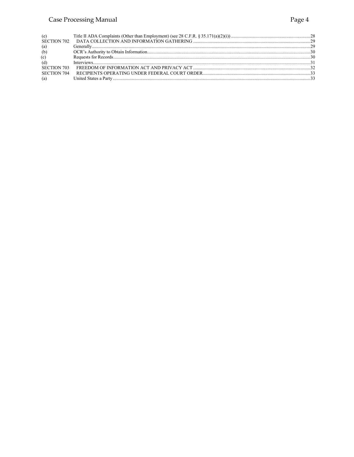### Case Processing Manual

| (e)<br>SECTION 702 |                 |  |
|--------------------|-----------------|--|
| (a)                |                 |  |
| (b)                |                 |  |
| (c)                |                 |  |
| (d)                | $Interviews 31$ |  |
| SECTION 703        |                 |  |
| SECTION 704        |                 |  |
| (a)                |                 |  |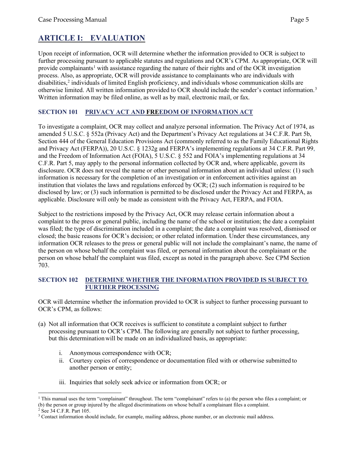### <span id="page-4-0"></span>**ARTICLE I: EVALUATION**

Upon receipt of information, OCR will determine whether the information provided to OCR is subject to further processing pursuant to applicable statutes and regulations and OCR's CPM*.* As appropriate, OCR will provide complainants<sup>[1](#page-4-3)</sup> with assistance regarding the nature of their rights and of the OCR investigation process. Also, as appropriate, OCR will provide assistance to complainants who are individuals with disabilities,<sup>[2](#page-4-4)</sup> individuals of limited English proficiency, and individuals whose communication skills are otherwise limited. All written information provided to OCR should include the sender's contact information.[3](#page-4-5) Written information may be filed online, as well as by mail, electronic mail, or fax.

### <span id="page-4-1"></span>**SECTION 101 PRIVACY ACT AND FREEDOM OF INFORMATION ACT**

To investigate a complaint, OCR may collect and analyze personal information. The Privacy Act of 1974, as amended 5 U.S.C. § 552a (Privacy Act) and the Department's Privacy Act regulations at 34 C.F.R. Part 5b, Section 444 of the General Education Provisions Act (commonly referred to as the Family Educational Rights and Privacy Act (FERPA)), 20 U.S.C. § 1232g and FERPA's implementing regulations at 34 C.F.R. Part 99, and the Freedom of Information Act (FOIA), 5 U.S.C. § 552 and FOIA's implementing regulations at 34 C.F.R. Part 5, may apply to the personal information collected by OCR and, where applicable, govern its disclosure. OCR does not reveal the name or other personal information about an individual unless: (1) such information is necessary for the completion of an investigation or in enforcement activities against an institution that violates the laws and regulations enforced by OCR; (2) such information is required to be disclosed by law; or (3) such information is permitted to be disclosed under the Privacy Act and FERPA, as applicable. Disclosure will only be made as consistent with the Privacy Act, FERPA, and FOIA.

Subject to the restrictions imposed by the Privacy Act, OCR may release certain information about a complaint to the press or general public, including the name of the school or institution; the date a complaint was filed; the type of discrimination included in a complaint; the date a complaint was resolved, dismissed or closed; the basic reasons for OCR's decision; or other related information. Under these circumstances, any information OCR releases to the press or general public will not include the complainant's name, the name of the person on whose behalf the complaint was filed, or personal information about the complainant or the person on whose behalf the complaint was filed, except as noted in the paragraph above. See CPM Section 703.

### <span id="page-4-2"></span>**SECTION 102 DETERMINE WHETHER THE INFORMATION PROVIDED IS SUBJECT TO FURTHER PROCESSING**

OCR will determine whether the information provided to OCR is subject to further processing pursuant to OCR's CPM, as follows:

- (a) Not all information that OCR receives is sufficient to constitute a complaint subject to further processing pursuant to OCR's CPM. The following are generally not subject to further processing, but this determination will be made on an individualized basis, as appropriate:
	- i. Anonymous correspondence with OCR;
	- ii. Courtesy copies of correspondence or documentation filed with or otherwise submitted to another person or entity;
	- iii. Inquiries that solely seek advice or information from OCR; or

<span id="page-4-3"></span><sup>1</sup> This manual uses the term "complainant" throughout. The term "complainant" refers to (a) the person who files a complaint; or (b) the person or group injured by the alleged discriminations on whose behalf a complainant files a complaint.

<span id="page-4-4"></span> $2$  See 34 C.F.R. Part 105.

<span id="page-4-5"></span><sup>&</sup>lt;sup>3</sup> Contact information should include, for example, mailing address, phone number, or an electronic mail address.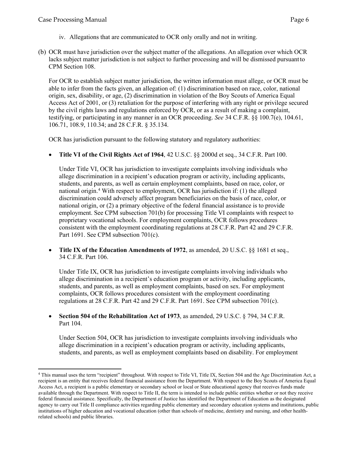- iv. Allegations that are communicated to OCR only orally and not in writing.
- (b) OCR must have jurisdiction over the subject matter of the allegations. An allegation over which OCR lacks subject matter jurisdiction is not subject to further processing and will be dismissed pursuantto CPM Section 108.

For OCR to establish subject matter jurisdiction, the written information must allege, or OCR must be able to infer from the facts given, an allegation of: (1) discrimination based on race, color, national origin, sex, disability, or age, (2) discrimination in violation of the Boy Scouts of America Equal Access Act of 2001, or (3) retaliation for the purpose of interfering with any right or privilege secured by the civil rights laws and regulations enforced by OCR, or as a result of making a complaint, testifying, or participating in any manner in an OCR proceeding. *See* 34 C.F.R. §§ 100.7(e), 104.61, 106.71, 108.9, 110.34; and 28 C.F.R. § 35.134.

OCR has jurisdiction pursuant to the following statutory and regulatory authorities:

• **Title VI of the Civil Rights Act of 1964**, 42 U.S.C. §§ 2000d et seq., 34 C.F.R. Part 100.

Under Title VI, OCR has jurisdiction to investigate complaints involving individuals who allege discrimination in a recipient's education program or activity, including applicants, students, and parents, as well as certain employment complaints, based on race, color, or national origin.[4](#page-5-0) With respect to employment, OCR has jurisdiction if: (1) the alleged discrimination could adversely affect program beneficiaries on the basis of race, color, or national origin, or (2) a primary objective of the federal financial assistance is to provide employment. See CPM subsection 701(b) for processing Title VI complaints with respect to proprietary vocational schools. For employment complaints, OCR follows procedures consistent with the employment coordinating regulations at 28 C.F.R. Part 42 and 29 C.F.R. Part 1691. See CPM subsection 701(c).

• **Title IX of the Education Amendments of 1972**, as amended, 20 U.S.C. §§ 1681 et seq., 34 C.F.R. Part 106.

Under Title IX, OCR has jurisdiction to investigate complaints involving individuals who allege discrimination in a recipient's education program or activity, including applicants, students, and parents, as well as employment complaints, based on sex. For employment complaints, OCR follows procedures consistent with the employment coordinating regulations at 28 C.F.R. Part 42 and 29 C.F.R. Part 1691. See CPM subsection 701(c).

### • **Section 504 of the Rehabilitation Act of 1973**, as amended, 29 U.S.C. § 794, 34 C.F.R. Part 104.

Under Section 504, OCR has jurisdiction to investigate complaints involving individuals who allege discrimination in a recipient's education program or activity, including applicants, students, and parents, as well as employment complaints based on disability. For employment

<span id="page-5-0"></span><sup>4</sup> This manual uses the term "recipient" throughout. With respect to Title VI, Title IX, Section 504 and the Age Discrimination Act, a recipient is an entity that receives federal financial assistance from the Department. With respect to the Boy Scouts of America Equal Access Act, a recipient is a public elementary or secondary school or local or State educational agency that receives funds made available through the Department. With respect to Title II, the term is intended to include public entities whether or not they receive federal financial assistance. Specifically, the Department of Justice has identified the Department of Education as the designated agency to carry out Title II compliance activities regarding public elementary and secondary education systems and institutions, public institutions of higher education and vocational education (other than schools of medicine, dentistry and nursing, and other healthrelated schools) and public libraries.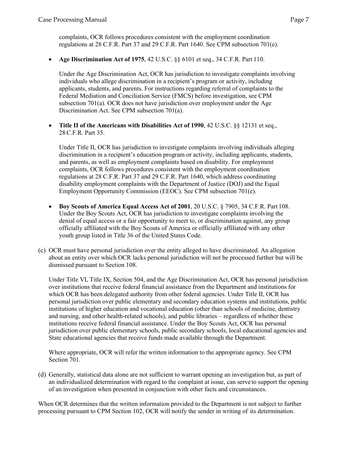complaints, OCR follows procedures consistent with the employment coordination regulations at 28 C.F.R. Part 37 and 29 C.F.R. Part 1640. See CPM subsection 701(e).

• **Age Discrimination Act of 1975**, 42 U.S.C. §§ 6101 et seq., 34 C.F.R. Part 110.

Under the Age Discrimination Act, OCR has jurisdiction to investigate complaints involving individuals who allege discrimination in a recipient's program or activity, including applicants, students, and parents. For instructions regarding referral of complaints to the Federal Mediation and Conciliation Service (FMCS) before investigation, see CPM subsection 701(a). OCR does not have jurisdiction over employment under the Age Discrimination Act. See CPM su[bsection 701\(a\).](http://www2.ed.gov/print/about/offices/list/ocr/docs/ocrcpm.html#VI_1_a_1)

• **Title II of the Americans with Disabilities Act of 1990**, 42 U.S.C. §§ 12131 et seq., 28C.F.R. Part 35.

Under Title II, OCR has jurisdiction to investigate complaints involving individuals alleging discrimination in a recipient's education program or activity, including applicants, students, and parents, as well as employment complaints based on disability. For employment complaints, OCR follows procedures consistent with the employment coordination regulations at 28 C.F.R. Part 37 and 29 C.F.R. Part 1640, which address coordinating disability employment complaints with the Department of Justice (DOJ) and the Equal Employment Opportunity Commission (EEOC). See CPM subsection 701(e).

- **Boy Scouts of America Equal Access Act of 2001**, 20 U.S.C. § 7905, 34 C.F.R. Part 108. Under the Boy Scouts Act, OCR has jurisdiction to investigate complaints involving the denial of equal access or a fair opportunity to meet to, or discrimination against, any group officially affiliated with the Boy Scouts of America or officially affiliated with any other youth group listed in Title 36 of the United States Code.
- (c) OCR must have personal jurisdiction over the entity alleged to have discriminated. An allegation about an entity over which OCR lacks personal jurisdiction will not be processed further but will be dismissed pursuant to Section 108.

Under Title VI, Title IX, Section 504, and the Age Discrimination Act, OCR has personal jurisdiction over institutions that receive federal financial assistance from the Department and institutions for which OCR has been delegated authority from other federal agencies. Under Title II, OCR has personal jurisdiction over public elementary and secondary education systems and institutions, public institutions of higher education and vocational education (other than schools of medicine, dentistry and nursing, and other health-related schools), and public libraries – regardless of whether these institutions receive federal financial assistance. Under the Boy Scouts Act, OCR has personal jurisdiction over public elementary schools, public secondary schools, local educational agencies and State educational agencies that receive funds made available through the Department.

Where appropriate, OCR will refer the written information to the appropriate agency. See CPM Section 701.

(d) Generally, statistical data alone are not sufficient to warrant opening an investigation but, as part of an individualized determination with regard to the complaint at issue, can serve to support the opening of an investigation when presented in conjunction with other facts and circumstances.

When OCR determines that the written information provided to the Department is not subject to further processing pursuant to CPM Section 102, OCR will notify the sender in writing of its determination.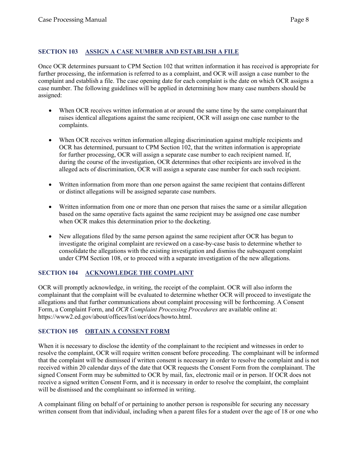### <span id="page-7-0"></span>**SECTION 103 ASSIGN A CASE NUMBER AND ESTABLISH A FILE**

Once OCR determines pursuant to CPM Section 102 that written information it has received is appropriate for further processing, the information is referred to as a complaint, and OCR will assign a case number to the complaint and establish a file. The case opening date for each complaint is the date on which OCR assigns a case number. The following guidelines will be applied in determining how many case numbers should be assigned:

- When OCR receives written information at or around the same time by the same complainant that raises identical allegations against the same recipient, OCR will assign one case number to the complaints.
- When OCR receives written information alleging discrimination against multiple recipients and OCR has determined, pursuant to CPM Section 102, that the written information is appropriate for further processing, OCR will assign a separate case number to each recipient named. If, during the course of the investigation, OCR determines that other recipients are involved in the alleged acts of discrimination, OCR will assign a separate case number for each such recipient.
- Written information from more than one person against the same recipient that contains different or distinct allegations will be assigned separate case numbers.
- Written information from one or more than one person that raises the same or a similar allegation based on the same operative facts against the same recipient may be assigned one case number when OCR makes this determination prior to the docketing.
- New allegations filed by the same person against the same recipient after OCR has begun to investigate the original complaint are reviewed on a case-by-case basis to determine whether to consolidate the allegations with the existing investigation and dismiss the subsequent complaint under CPM Section 108, or to proceed with a separate investigation of the new allegations.

### <span id="page-7-1"></span>**SECTION 104 ACKNOWLEDGE THE COMPLAINT**

OCR will promptly acknowledge, in writing, the receipt of the complaint. OCR will also inform the complainant that the complaint will be evaluated to determine whether OCR will proceed to investigate the allegations and that further communications about complaint processing will be forthcoming. A Consent Form, a Complaint Form, and *OCR Complaint Processing Procedures* are available online at: https://www2.ed.gov/about/offices/list/ocr/docs/howto.html.

### <span id="page-7-2"></span>**SECTION 105 OBTAIN A CONSENT FORM**

When it is necessary to disclose the identity of the complainant to the recipient and witnesses in order to resolve the complaint, OCR will require written consent before proceeding. The complainant will be informed that the complaint will be dismissed if written consent is necessary in order to resolve the complaint and is not received within 20 calendar days of the date that OCR requests the Consent Form from the complainant. The signed Consent Form may be submitted to OCR by mail, fax, electronic mail or in person. If OCR does not receive a signed written Consent Form, and it is necessary in order to resolve the complaint, the complaint will be dismissed and the complainant so informed in writing.

A complainant filing on behalf of or pertaining to another person is responsible for securing any necessary written consent from that individual, including when a parent files for a student over the age of 18 or one who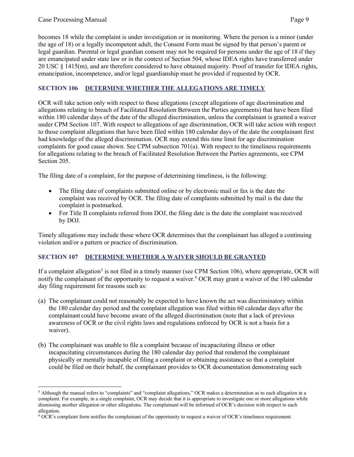becomes 18 while the complaint is under investigation or in monitoring. Where the person is a minor (under the age of 18) or a legally incompetent adult, the Consent Form must be signed by that person's parent or legal guardian. Parental or legal guardian consent may not be required for persons under the age of 18 if they are emancipated under state law or in the context of Section 504, whose IDEA rights have transferred under 20 USC § 1415(m), and are therefore considered to have obtained majority. Proof of transfer for IDEA rights, emancipation, incompetence, and/or legal guardianship must be provided if requested by OCR.

### <span id="page-8-0"></span>**SECTION 106 DETERMINE WHETHER THE ALLEGATIONS ARE TIMELY**

OCR will take action only with respect to those allegations (except allegations of age discrimination and allegations relating to breach of Facilitated Resolution Between the Parties agreements) that have been filed within 180 calendar days of the date of the alleged discrimination, unless the complainant is granted a waiver under CPM Section 107. With respect to allegations of age discrimination, OCR will take action with respect to those complaint allegations that have been filed within 180 calendar days of the date the complainant first had knowledge of the alleged discrimination. OCR may extend this time limit for age discrimination complaints for good cause shown. See CPM subsection 701(a). With respect to the timeliness requirements for allegations relating to the breach of Facilitated Resolution Between the Parties agreements, see CPM Section 205.

The filing date of a complaint, for the purpose of determining timeliness, is the following:

- The filing date of complaints submitted online or by electronic mail or fax is the date the complaint was received by OCR. The filing date of complaints submitted by mail is the date the complaint is postmarked.
- For Title II complaints referred from DOJ, the filing date is the date the complaint wasreceived by DOJ.

Timely allegations may include those where OCR determines that the complainant has alleged a continuing violation and/or a pattern or practice of discrimination.

### <span id="page-8-1"></span>**SECTION 107 DETERMINE WHETHER A WAIVER SHOULD BE GRANTED**

If a complaint allegation<sup>[5](#page-8-2)</sup> is not filed in a timely manner (see CPM Section 106), where appropriate, OCR will notify the complainant of the opportunity to request a waiver.[6](#page-8-3) OCR may grant a waiver of the 180 calendar day filing requirement for reasons such as:

- (a) The complainant could not reasonably be expected to have known the act was discriminatory within the 180 calendar day period and the complaint allegation was filed within 60 calendar days after the complainant could have become aware of the alleged discrimination (note that a lack of previous awareness of OCR or the civil rights laws and regulations enforced by OCR is not a basis for a waiver).
- (b) The complainant was unable to file a complaint because of incapacitating illness or other incapacitating circumstances during the 180 calendar day period that rendered the complainant physically or mentally incapable of filing a complaint or obtaining assistance so that a complaint could be filed on their behalf, the complainant provides to OCR documentation demonstrating such

<span id="page-8-2"></span><sup>5</sup> Although the manual refers to "complaints" and "complaint allegations," OCR makes a determination as to each allegation in a complaint. For example, in a single complaint, OCR may decide that it is appropriate to investigate one or more allegations while dismissing another allegation or other allegations. The complainant will be informed of OCR's decision with respect to each allegation.

<span id="page-8-3"></span><sup>6</sup> OCR's complaint form notifies the complainant of the opportunity to request a waiver of OCR's timeliness requirement.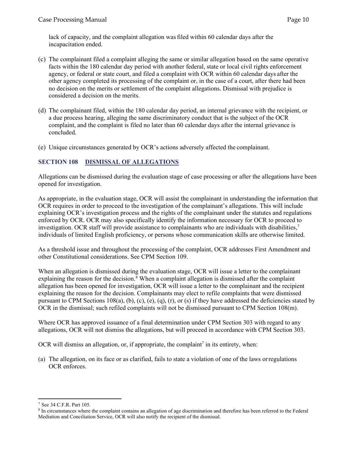lack of capacity, and the complaint allegation wasfiled within 60 calendar days after the incapacitation ended.

- (c) The complainant filed a complaint alleging the same or similar allegation based on the same operative facts within the 180 calendar day period with another federal, state or local civil rights enforcement agency, or federal or state court, and filed a complaint with OCR within 60 calendar days after the other agency completed its processing of the complaint or, in the case of a court, after there had been no decision on the merits or settlement of the complaint allegations. Dismissal with prejudice is considered a decision on the merits.
- (d) The complainant filed, within the 180 calendar day period, an internal grievance with the recipient, or a due process hearing, alleging the same discriminatory conduct that is the subject of the OCR complaint, and the complaint is filed no later than 60 calendar days after the internal grievance is concluded.
- (e) Unique circumstances generated by OCR's actions adversely affected the complainant.

### <span id="page-9-0"></span>**SECTION 108 DISMISSAL OF ALLEGATIONS**

Allegations can be dismissed during the evaluation stage of case processing or after the allegations have been opened for investigation.

As appropriate, in the evaluation stage, OCR will assist the complainant in understanding the information that OCR requires in order to proceed to the investigation of the complainant's allegations. This will include explaining OCR's investigation process and the rights of the complainant under the statutes and regulations enforced by OCR. OCR may also specifically identify the information necessary for OCR to proceed to investigation. OCR staff will provide assistance to complainants who are individuals with disabilities,<sup>[7](#page-9-1)</sup> individuals of limited English proficiency, or persons whose communication skills are otherwise limited.

As a threshold issue and throughout the processing of the complaint, OCR addresses First Amendment and other Constitutional considerations. See CPM Section 109.

When an allegation is dismissed during the evaluation stage, OCR will issue a letter to the complainant explaining the reason for the decision.<sup>[8](#page-9-2)</sup> When a complaint allegation is dismissed after the complaint allegation has been opened for investigation, OCR will issue a letter to the complainant and the recipient explaining the reason for the decision. Complainants may elect to refile complaints that were dismissed pursuant to CPM Sections  $108(a)$ , (b), (c), (e), (q), (r), or (s) if they have addressed the deficiencies stated by OCR in the dismissal; such refiled complaints will not be dismissed pursuant to CPM Section 108(m).

Where OCR has approved issuance of a final determination under CPM Section 303 with regard to any allegations, OCR will not dismiss the allegations, but will proceed in accordance with CPM Section 303.

OCR will dismiss an allegation, or, if appropriate, the complaint<sup>7</sup> in its entirety, when:

(a) The allegation, on its face or as clarified, fails to state a violation of one of the laws orregulations OCR enforces.

<span id="page-9-1"></span><sup>7</sup> See 34 C.F.R. Part 105.

<span id="page-9-2"></span><sup>8</sup> In circumstances where the complaint contains an allegation of age discrimination and therefore has been referred to the Federal Mediation and Conciliation Service, OCR will also notify the recipient of the dismissal.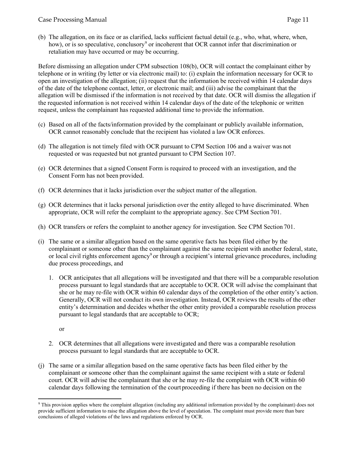(b) The allegation, on its face or as clarified, lacks sufficient factual detail (e.g., who, what, where, when, how), or is so speculative, conclusory<sup>[9](#page-10-0)</sup> or incoherent that OCR cannot infer that discrimination or retaliation may have occurred or may be occurring.

Before dismissing an allegation under CPM subsection 108(b), OCR will contact the complainant either by telephone or in writing (by letter or via electronic mail) to: (i) explain the information necessary for OCR to open an investigation of the allegation; (ii) request that the information be received within 14 calendar days of the date of the telephone contact, letter, or electronic mail; and (iii) advise the complainant that the allegation will be dismissed if the information is not received by that date. OCR will dismiss the allegation if the requested information is not received within 14 calendar days of the date of the telephonic or written request, unless the complainant has requested additional time to provide the information.

- (c) Based on all of the facts/information provided by the complainant or publicly available information, OCR cannot reasonably conclude that the recipient has violated a law OCR enforces.
- (d) The allegation is not timely filed with OCR pursuant to CPM Section 106 and a waiver was not requested or was requested but not granted pursuant to CPM Section 107.
- (e) OCR determines that a signed Consent Form is required to proceed with an investigation, and the Consent Form has not been provided.
- (f) OCR determines that it lacks jurisdiction over the subject matter of the allegation.
- (g) OCR determines that it lacks personal jurisdiction over the entity alleged to have discriminated. When appropriate, OCR will refer the complaint to the appropriate agency. See CPM Section 701.
- (h) OCR transfers or refers the complaint to another agency for investigation. See CPM Section 701.
- (i) The same or a similar allegation based on the same operative facts has been filed either by the complainant or someone other than the complainant against the same recipient with another federal, state, or local civil rights enforcement agency<sup>9</sup> or through a recipient's internal grievance procedures, including due process proceedings, and
	- 1. OCR anticipates that all allegations will be investigated and that there will be a comparable resolution process pursuant to legal standards that are acceptable to OCR. OCR will advise the complainant that she or he may re-file with OCR within 60 calendar days of the completion of the other entity's action. Generally, OCR will not conduct its own investigation. Instead, OCR reviews the results of the other entity's determination and decides whether the other entity provided a comparable resolution process pursuant to legal standards that are acceptable to OCR;

or

- 2. OCR determines that all allegations were investigated and there was a comparable resolution process pursuant to legal standards that are acceptable to OCR.
- (j) The same or a similar allegation based on the same operative facts has been filed either by the complainant or someone other than the complainant against the same recipient with a state or federal court. OCR will advise the complainant that she or he may re-file the complaint with OCR within 60 calendar days following the termination of the court proceeding if there has been no decision on the

<span id="page-10-0"></span><sup>9</sup> This provision applies where the complaint allegation (including any additional information provided by the complainant) does not provide sufficient information to raise the allegation above the level of speculation. The complaint must provide more than bare conclusions of alleged violations of the laws and regulations enforced by OCR.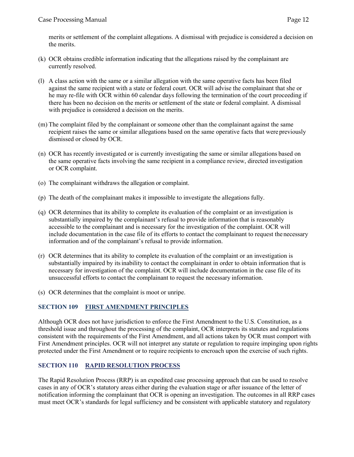merits or settlement of the complaint allegations. A dismissal with prejudice is considered a decision on the merits.

- (k) OCR obtains credible information indicating that the allegations raised by the complainant are currently resolved.
- (l) A class action with the same or a similar allegation with the same operative facts has been filed against the same recipient with a state or federal court. OCR will advise the complainant that she or he may re-file with OCR within 60 calendar days following the termination of the court proceeding if there has been no decision on the merits or settlement of the state or federal complaint. A dismissal with prejudice is considered a decision on the merits.
- (m) The complaint filed by the complainant or someone other than the complainant against the same recipient raises the same or similar allegations based on the same operative facts that were previously dismissed or closed by OCR.
- (n) OCR has recently investigated or is currently investigating the same or similar allegations based on the same operative facts involving the same recipient in a compliance review, directed investigation or OCR complaint.
- (o) The complainant withdraws the allegation or complaint.
- (p) The death of the complainant makes it impossible to investigate the allegations fully.
- (q) OCR determines that its ability to complete its evaluation of the complaint or an investigation is substantially impaired by the complainant's refusal to provide information that is reasonably accessible to the complainant and is necessary for the investigation of the complaint. OCR will include documentation in the case file of its efforts to contact the complainant to request the necessary information and of the complainant's refusal to provide information.
- (r) OCR determines that its ability to complete its evaluation of the complaint or an investigation is substantially impaired by itsinability to contact the complainant in order to obtain information that is necessary for investigation of the complaint. OCR will include documentation in the case file of its unsuccessful efforts to contact the complainant to request the necessary information.
- (s) OCR determines that the complaint is moot or unripe.

### <span id="page-11-0"></span>**SECTION 109 FIRST AMENDMENT PRINCIPLES**

Although OCR does not have jurisdiction to enforce the First Amendment to the U.S. Constitution, as a threshold issue and throughout the processing of the complaint, OCR interprets its statutes and regulations consistent with the requirements of the First Amendment, and all actions taken by OCR must comport with First Amendment principles. OCR will not interpret any statute or regulation to require impinging upon rights protected under the First Amendment or to require recipients to encroach upon the exercise of such rights.

### <span id="page-11-1"></span>**SECTION 110 RAPID RESOLUTION PROCESS**

The Rapid Resolution Process (RRP) is an expedited case processing approach that can be used to resolve cases in any of OCR's statutory areas either during the evaluation stage or after issuance of the letter of notification informing the complainant that OCR is opening an investigation. The outcomes in all RRP cases must meet OCR's standards for legal sufficiency and be consistent with applicable statutory and regulatory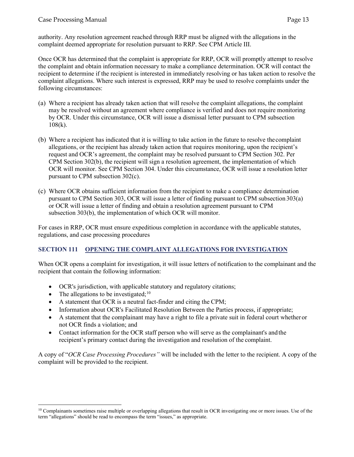authority. Any resolution agreement reached through RRP must be aligned with the allegations in the complaint deemed appropriate for resolution pursuant to RRP. See CPM Article III.

Once OCR has determined that the complaint is appropriate for RRP, OCR will promptly attempt to resolve the complaint and obtain information necessary to make a compliance determination. OCR will contact the recipient to determine if the recipient is interested in immediately resolving or has taken action to resolve the complaint allegations. Where such interest is expressed, RRP may be used to resolve complaints under the following circumstances:

- (a) Where a recipient has already taken action that will resolve the complaint allegations, the complaint may be resolved without an agreement where compliance is verified and does not require monitoring by OCR. Under this circumstance, OCR will issue a dismissal letter pursuant to CPM subsection  $108(k)$ .
- (b) Where a recipient has indicated that it is willing to take action in the future to resolve the complaint allegations, or the recipient has already taken action that requires monitoring, upon the recipient's request and OCR's agreement, the complaint may be resolved pursuant to CPM Section 302. Per CPM Section 302(b), the recipient will sign a resolution agreement, the implementation of which OCR will monitor. See CPM Section 304. Under this circumstance, OCR will issue a resolution letter pursuant to CPM subsection 302(c).
- (c) Where OCR obtains sufficient information from the recipient to make a compliance determination pursuant to CPM Section 303, OCR will issue a letter of finding pursuant to CPM subsection 303(a) or OCR will issue a letter of finding and obtain a resolution agreement pursuant to CPM subsection 303(b), the implementation of which OCR will monitor.

For cases in RRP, OCR must ensure expeditious completion in accordance with the applicable statutes, regulations, and case processing procedures

### <span id="page-12-0"></span>**SECTION 111 OPENING THE COMPLAINT ALLEGATIONS FOR INVESTIGATION**

When OCR opens a complaint for investigation, it will issue letters of notification to the complainant and the recipient that contain the following information:

- OCR's jurisdiction, with applicable statutory and regulatory citations;
- The allegations to be investigated;  $10$
- A statement that OCR is a neutral fact-finder and citing the CPM;
- Information about OCR's Facilitated Resolution Between the Parties process, if appropriate;
- A statement that the complainant may have a right to file a private suit in federal court whether or not OCR finds a violation; and
- Contact information for the OCR staff person who will serve as the complainant's and the recipient's primary contact during the investigation and resolution of the complaint.

A copy of "*OCR Case Processing Procedures"* will be included with the letter to the recipient. A copy of the complaint will be provided to the recipient.

<span id="page-12-1"></span> $10$  Complainants sometimes raise multiple or overlapping allegations that result in OCR investigating one or more issues. Use of the term "allegations" should be read to encompass the term "issues," as appropriate.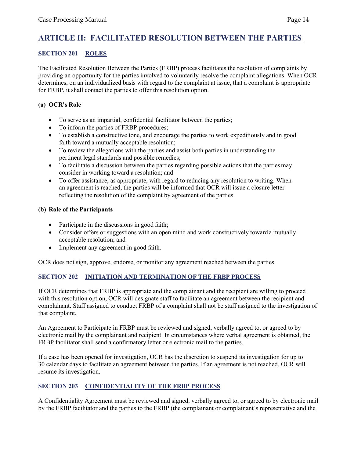### <span id="page-13-0"></span>**ARTICLE II: FACILITATED RESOLUTION BETWEEN THE PARTIES**

### <span id="page-13-1"></span>**SECTION 201 ROLES**

The Facilitated Resolution Between the Parties (FRBP) process facilitates the resolution of complaints by providing an opportunity for the parties involved to voluntarily resolve the complaint allegations. When OCR determines, on an individualized basis with regard to the complaint at issue, that a complaint is appropriate for FRBP, it shall contact the parties to offer this resolution option.

### <span id="page-13-2"></span>**(a) OCR's Role**

- To serve as an impartial, confidential facilitator between the parties;
- To inform the parties of FRBP procedures;
- To establish a constructive tone, and encourage the parties to work expeditiously and in good faith toward a mutually acceptable resolution;
- To review the allegations with the parties and assist both parties in understanding the pertinent legal standards and possible remedies;
- To facilitate a discussion between the parties regarding possible actions that the parties may consider in working toward a resolution; and
- To offer assistance, as appropriate, with regard to reducing any resolution to writing. When an agreement is reached, the parties will be informed that OCR will issue a closure letter reflecting the resolution of the complaint by agreement of the parties.

### <span id="page-13-3"></span>**(b) Role of the Participants**

- Participate in the discussions in good faith;
- Consider offers or suggestions with an open mind and work constructively toward a mutually acceptable resolution; and
- Implement any agreement in good faith.

OCR does not sign, approve, endorse, or monitor any agreement reached between the parties.

### <span id="page-13-4"></span>**SECTION 202 INITIATION AND TERMINATION OF THE FRBP PROCESS**

If OCR determines that FRBP is appropriate and the complainant and the recipient are willing to proceed with this resolution option, OCR will designate staff to facilitate an agreement between the recipient and complainant. Staff assigned to conduct FRBP of a complaint shall not be staff assigned to the investigation of that complaint.

An Agreement to Participate in FRBP must be reviewed and signed, verbally agreed to, or agreed to by electronic mail by the complainant and recipient. In circumstances where verbal agreement is obtained, the FRBP facilitator shall send a confirmatory letter or electronic mail to the parties.

If a case has been opened for investigation, OCR has the discretion to suspend its investigation for up to 30 calendar days to facilitate an agreement between the parties. If an agreement is not reached, OCR will resume its investigation.

### <span id="page-13-5"></span>**SECTION 203 CONFIDENTIALITY OF THE FRBP PROCESS**

A Confidentiality Agreement must be reviewed and signed, verbally agreed to, or agreed to by electronic mail by the FRBP facilitator and the parties to the FRBP (the complainant or complainant's representative and the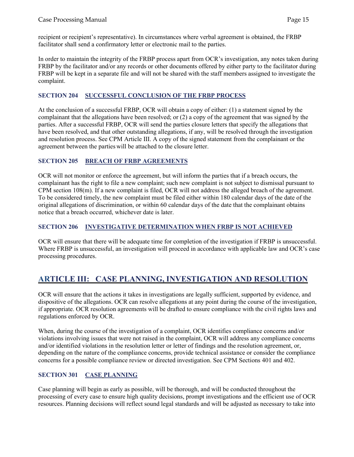recipient or recipient's representative). In circumstances where verbal agreement is obtained, the FRBP facilitator shall send a confirmatory letter or electronic mail to the parties.

In order to maintain the integrity of the FRBP process apart from OCR's investigation, any notes taken during FRBP by the facilitator and/or any records or other documents offered by either party to the facilitator during FRBP will be kept in a separate file and will not be shared with the staff members assigned to investigate the complaint.

### <span id="page-14-0"></span>**SECTION 204 SUCCESSFUL CONCLUSION OF THE FRBP PROCESS**

At the conclusion of a successful FRBP, OCR will obtain a copy of either: (1) a statement signed by the complainant that the allegations have been resolved; or (2) a copy of the agreement that was signed by the parties. After a successful FRBP, OCR will send the parties closure letters that specify the allegations that have been resolved, and that other outstanding allegations, if any, will be resolved through the investigation and resolution process. See CPM Article III. A copy of the signed statement from the complainant or the agreement between the parties will be attached to the closure letter.

### <span id="page-14-1"></span>**SECTION 205 BREACH OF FRBP AGREEMENTS**

OCR will not monitor or enforce the agreement, but will inform the parties that if a breach occurs, the complainant has the right to file a new complaint; such new complaint is not subject to dismissal pursuant to CPM section 108(m). If a new complaint is filed, OCR will not address the alleged breach of the agreement. To be considered timely, the new complaint must be filed either within 180 calendar days of the date of the original allegations of discrimination, or within 60 calendar days of the date that the complainant obtains notice that a breach occurred, whichever date is later.

### <span id="page-14-2"></span>**SECTION 206 INVESTIGATIVE DETERMINATION WHEN FRBP IS NOT ACHIEVED**

OCR will ensure that there will be adequate time for completion of the investigation if FRBP is unsuccessful. Where FRBP is unsuccessful, an investigation will proceed in accordance with applicable law and OCR's case processing procedures.

### <span id="page-14-3"></span>**ARTICLE III: CASE PLANNING, INVESTIGATION AND RESOLUTION**

OCR will ensure that the actions it takes in investigations are legally sufficient, supported by evidence, and dispositive of the allegations. OCR can resolve allegations at any point during the course of the investigation, if appropriate. OCR resolution agreements will be drafted to ensure compliance with the civil rights laws and regulations enforced by OCR.

When, during the course of the investigation of a complaint, OCR identifies compliance concerns and/or violations involving issues that were not raised in the complaint, OCR will address any compliance concerns and/or identified violations in the resolution letter or letter of findings and the resolution agreement, or, depending on the nature of the compliance concerns, provide technical assistance or consider the compliance concerns for a possible compliance review or directed investigation. See CPM Sections 401 and 402.

### <span id="page-14-4"></span>**SECTION 301 CASE PLANNING**

Case planning will begin as early as possible, will be thorough, and will be conducted throughout the processing of every case to ensure high quality decisions, prompt investigations and the efficient use of OCR resources. Planning decisions will reflect sound legal standards and will be adjusted as necessary to take into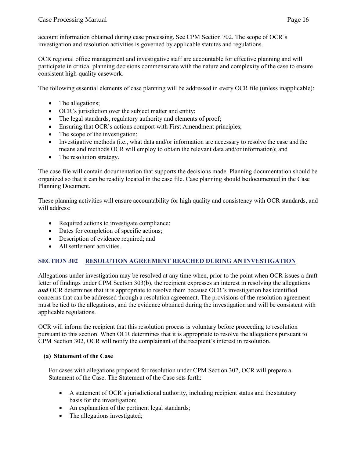account information obtained during case processing. See CPM Section 702. The scope of OCR's investigation and resolution activities is governed by applicable statutes and regulations.

OCR regional office management and investigative staff are accountable for effective planning and will participate in critical planning decisions commensurate with the nature and complexity of the case to ensure consistent high-quality casework.

The following essential elements of case planning will be addressed in every OCR file (unless inapplicable):

- The allegations;
- OCR's jurisdiction over the subject matter and entity;
- The legal standards, regulatory authority and elements of proof;
- Ensuring that OCR's actions comport with First Amendment principles;
- The scope of the investigation;
- Investigative methods (i.e., what data and/or information are necessary to resolve the case and the means and methods OCR will employ to obtain the relevant data and/or information); and
- The resolution strategy.

The case file will contain documentation that supports the decisions made. Planning documentation should be organized so that it can be readily located in the case file. Case planning should bedocumented in the Case Planning Document.

These planning activities will ensure accountability for high quality and consistency with OCR standards, and will address:

- Required actions to investigate compliance;
- Dates for completion of specific actions;
- Description of evidence required; and
- All settlement activities.

### <span id="page-15-0"></span>**SECTION 302 RESOLUTION AGREEMENT REACHED DURING AN INVESTIGATION**

Allegations under investigation may be resolved at any time when, prior to the point when OCR issues a draft letter of findings under CPM Section 303(b), the recipient expresses an interest in resolving the allegations *and* OCR determines that it is appropriate to resolve them because OCR's investigation has identified concerns that can be addressed through a resolution agreement. The provisions of the resolution agreement must be tied to the allegations, and the evidence obtained during the investigation and will be consistent with applicable regulations.

OCR will inform the recipient that this resolution process is voluntary before proceeding to resolution pursuant to this section. When OCR determines that it is appropriate to resolve the allegations pursuant to CPM Section 302, OCR will notify the complainant of the recipient's interest in resolution.

### <span id="page-15-1"></span>**(a) Statement of the Case**

For cases with allegations proposed for resolution under CPM Section 302, OCR will prepare a Statement of the Case. The Statement of the Case sets forth:

- A statement of OCR's jurisdictional authority, including recipient status and the statutory basis for the investigation;
- An explanation of the pertinent legal standards;
- The allegations investigated;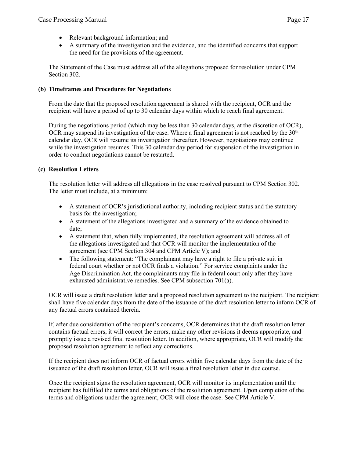- Relevant background information; and
- A summary of the investigation and the evidence, and the identified concerns that support the need for the provisions of the agreement.

The Statement of the Case must address all of the allegations proposed for resolution under CPM Section 302.

### <span id="page-16-0"></span>**(b) Timeframes and Procedures for Negotiations**

From the date that the proposed resolution agreement is shared with the recipient, OCR and the recipient will have a period of up to 30 calendar days within which to reach final agreement.

During the negotiations period (which may be less than 30 calendar days, at the discretion of OCR), OCR may suspend its investigation of the case. Where a final agreement is not reached by the  $30<sup>th</sup>$ calendar day, OCR will resume its investigation thereafter. However, negotiations may continue while the investigation resumes. This 30 calendar day period for suspension of the investigation in order to conduct negotiations cannot be restarted.

### <span id="page-16-1"></span>**(c) Resolution Letters**

The resolution letter will address all allegations in the case resolved pursuant to CPM Section 302. The letter must include, at a minimum:

- A statement of OCR's jurisdictional authority, including recipient status and the statutory basis for the investigation;
- A statement of the allegations investigated and a summary of the evidence obtained to date;
- A statement that, when fully implemented, the resolution agreement will address all of the allegations investigated and that OCR will monitor the implementation of the agreement (see CPM Section 304 and CPM Article V); and
- The following statement: "The complainant may have a right to file a private suit in federal court whether or not OCR finds a violation." For service complaints under the Age Discrimination Act, the complainants may file in federal court only after they have exhausted administrative remedies. See CPM subsection 701(a).

OCR will issue a draft resolution letter and a proposed resolution agreement to the recipient. The recipient shall have five calendar days from the date of the issuance of the draft resolution letter to inform OCR of any factual errors contained therein.

If, after due consideration of the recipient's concerns, OCR determines that the draft resolution letter contains factual errors, it will correct the errors, make any other revisions it deems appropriate, and promptly issue a revised final resolution letter. In addition, where appropriate, OCR will modify the proposed resolution agreement to reflect any corrections.

If the recipient does not inform OCR of factual errors within five calendar days from the date of the issuance of the draft resolution letter, OCR will issue a final resolution letter in due course.

Once the recipient signs the resolution agreement, OCR will monitor its implementation until the recipient has fulfilled the terms and obligations of the resolution agreement. Upon completion of the terms and obligations under the agreement, OCR will close the case. See CPM Article V.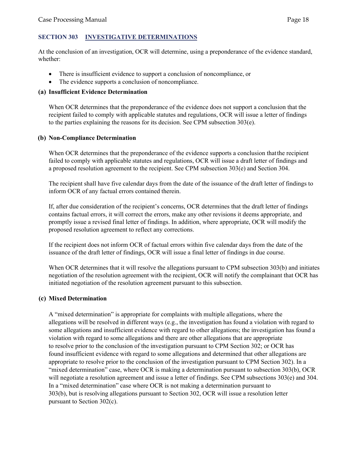### <span id="page-17-0"></span>**SECTION 303 INVESTIGATIVE DETERMINATIONS**

At the conclusion of an investigation, OCR will determine, using a preponderance of the evidence standard, whether:

- There is insufficient evidence to support a conclusion of noncompliance, or
- The evidence supports a conclusion of noncompliance.

### <span id="page-17-1"></span>**(a) Insufficient Evidence Determination**

When OCR determines that the preponderance of the evidence does not support a conclusion that the recipient failed to comply with applicable statutes and regulations, OCR will issue a letter of findings to the parties explaining the reasons for its decision. See CPM subsection 303(e).

### <span id="page-17-2"></span>**(b) Non-Compliance Determination**

When OCR determines that the preponderance of the evidence supports a conclusion that the recipient failed to comply with applicable statutes and regulations, OCR will issue a draft letter of findings and a proposed resolution agreement to the recipient. See CPM subsection 303(e) and Section 304.

The recipient shall have five calendar days from the date of the issuance of the draft letter of findings to inform OCR of any factual errors contained therein.

If, after due consideration of the recipient's concerns, OCR determines that the draft letter of findings contains factual errors, it will correct the errors, make any other revisions it deems appropriate, and promptly issue a revised final letter of findings. In addition, where appropriate, OCR will modify the proposed resolution agreement to reflect any corrections.

If the recipient does not inform OCR of factual errors within five calendar days from the date of the issuance of the draft letter of findings, OCR will issue a final letter of findings in due course.

When OCR determines that it will resolve the allegations pursuant to CPM subsection 303(b) and initiates negotiation of the resolution agreement with the recipient, OCR will notify the complainant that OCR has initiated negotiation of the resolution agreement pursuant to this subsection.

#### <span id="page-17-3"></span>**(c) Mixed Determination**

A "mixed determination" is appropriate for complaints with multiple allegations, where the allegations will be resolved in different ways (e.g., the investigation has found a violation with regard to some allegations and insufficient evidence with regard to other allegations; the investigation has found a violation with regard to some allegations and there are other allegations that are appropriate to resolve prior to the conclusion of the investigation pursuant to CPM Section 302; or OCR has found insufficient evidence with regard to some allegations and determined that other allegations are appropriate to resolve prior to the conclusion of the investigation pursuant to CPM Section 302). In a "mixed determination" case, where OCR is making a determination pursuant to subsection 303(b), OCR will negotiate a resolution agreement and issue a letter of findings. See CPM subsections 303(e) and 304. In a "mixed determination" case where OCR is not making a determination pursuant to 303(b), but is resolving allegations pursuant to Section 302, OCR will issue a resolution letter pursuant to Section 302(c).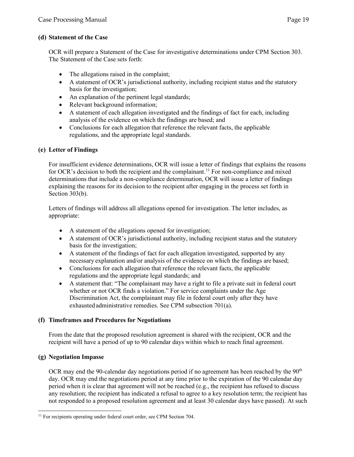### <span id="page-18-0"></span>**(d) Statement of the Case**

OCR will prepare a Statement of the Case for investigative determinations under CPM Section 303. The Statement of the Case sets forth:

- The allegations raised in the complaint;
- A statement of OCR's jurisdictional authority, including recipient status and the statutory basis for the investigation;
- An explanation of the pertinent legal standards;
- Relevant background information;
- A statement of each allegation investigated and the findings of fact for each, including analysis of the evidence on which the findings are based; and
- Conclusions for each allegation that reference the relevant facts, the applicable regulations, and the appropriate legal standards.

### <span id="page-18-1"></span>**(e) Letter of Findings**

For insufficient evidence determinations, OCR will issue a letter of findings that explains the reasons for OCR's decision to both the recipient and the complainant.<sup>[11](#page-18-4)</sup> For non-compliance and mixed determinations that include a non-compliance determination, OCR will issue a letter of findings explaining the reasons for its decision to the recipient after engaging in the process set forth in Section 303(b).

Letters of findings will address all allegations opened for investigation. The letter includes, as appropriate:

- A statement of the allegations opened for investigation;
- A statement of OCR's jurisdictional authority, including recipient status and the statutory basis for the investigation;
- A statement of the findings of fact for each allegation investigated, supported by any necessary explanation and/or analysis of the evidence on which the findings are based;
- Conclusions for each allegation that reference the relevant facts, the applicable regulations and the appropriate legal standards; and
- A statement that: "The complainant may have a right to file a private suit in federal court whether or not OCR finds a violation." For service complaints under the Age Discrimination Act, the complainant may file in federal court only after they have exhausted administrative remedies. See CPM subsection 701(a).

### <span id="page-18-2"></span>**(f) Timeframes and Procedures for Negotiations**

From the date that the proposed resolution agreement is shared with the recipient, OCR and the recipient will have a period of up to 90 calendar days within which to reach final agreement.

### <span id="page-18-3"></span>**(g) Negotiation Impasse**

OCR may end the 90-calendar day negotiations period if no agreement has been reached by the  $90<sup>th</sup>$ day. OCR may end the negotiations period at any time prior to the expiration of the 90 calendar day period when it is clear that agreement will not be reached (e.g., the recipient has refused to discuss any resolution; the recipient has indicated a refusal to agree to a key resolution term; the recipient has not responded to a proposed resolution agreement and at least 30 calendar days have passed). At such

<span id="page-18-4"></span><sup>&</sup>lt;sup>11</sup> For recipients operating under federal court order, see CPM Section 704.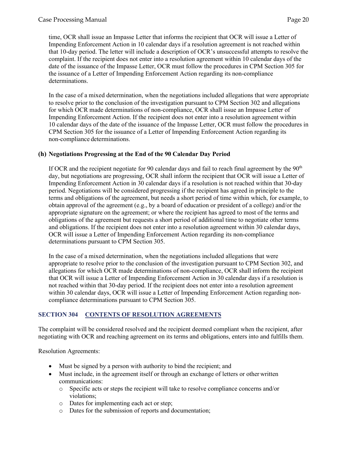time, OCR shall issue an Impasse Letter that informs the recipient that OCR will issue a Letter of Impending Enforcement Action in 10 calendar days if a resolution agreement is not reached within that 10-day period. The letter will include a description of OCR's unsuccessful attempts to resolve the complaint. If the recipient does not enter into a resolution agreement within 10 calendar days of the date of the issuance of the Impasse Letter, OCR must follow the procedures in CPM Section 305 for the issuance of a Letter of Impending Enforcement Action regarding its non-compliance determinations.

In the case of a mixed determination, when the negotiations included allegations that were appropriate to resolve prior to the conclusion of the investigation pursuant to CPM Section 302 and allegations for which OCR made determinations of non-compliance, OCR shall issue an Impasse Letter of Impending Enforcement Action. If the recipient does not enter into a resolution agreement within 10 calendar days of the date of the issuance of the Impasse Letter, OCR must follow the procedures in CPM Section 305 for the issuance of a Letter of Impending Enforcement Action regarding its non-compliance determinations.

### <span id="page-19-0"></span>**(h) Negotiations Progressing at the End of the 90 Calendar Day Period**

If OCR and the recipient negotiate for 90 calendar days and fail to reach final agreement by the 90<sup>th</sup> day, but negotiations are progressing, OCR shall inform the recipient that OCR will issue a Letter of Impending Enforcement Action in 30 calendar days if a resolution is not reached within that 30-day period. Negotiations will be considered progressing if the recipient has agreed in principle to the terms and obligations of the agreement, but needs a short period of time within which, for example, to obtain approval of the agreement (e.g., by a board of education or president of a college) and/or the appropriate signature on the agreement; or where the recipient has agreed to most of the terms and obligations of the agreement but requests a short period of additional time to negotiate other terms and obligations. If the recipient does not enter into a resolution agreement within 30 calendar days, OCR will issue a Letter of Impending Enforcement Action regarding its non-compliance determinations pursuant to CPM Section 305.

In the case of a mixed determination, when the negotiations included allegations that were appropriate to resolve prior to the conclusion of the investigation pursuant to CPM Section 302, and allegations for which OCR made determinations of non-compliance, OCR shall inform the recipient that OCR will issue a Letter of Impending Enforcement Action in 30 calendar days if a resolution is not reached within that 30-day period. If the recipient does not enter into a resolution agreement within 30 calendar days, OCR will issue a Letter of Impending Enforcement Action regarding noncompliance determinations pursuant to CPM Section 305.

### <span id="page-19-1"></span>**SECTION 304 CONTENTS OF RESOLUTION AGREEMENTS**

The complaint will be considered resolved and the recipient deemed compliant when the recipient, after negotiating with OCR and reaching agreement on its terms and obligations, enters into and fulfills them.

Resolution Agreements:

- Must be signed by a person with authority to bind the recipient; and
- Must include, in the agreement itself or through an exchange of letters or other written communications:
	- o Specific acts or steps the recipient will take to resolve compliance concerns and/or violations;
	- o Dates for implementing each act or step;
	- o Dates for the submission of reports and documentation;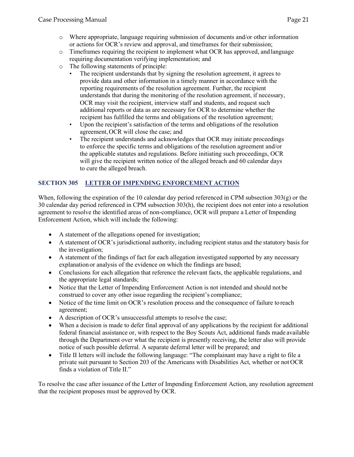- $\circ$  Where appropriate, language requiring submission of documents and/or other information or actions for OCR's review and approval, and timeframes for their submission;
- $\circ$  Timeframes requiring the recipient to implement what OCR has approved, and language requiring documentation verifying implementation; and
- o The following statements of principle:
	- The recipient understands that by signing the resolution agreement, it agrees to provide data and other information in a timely manner in accordance with the reporting requirements of the resolution agreement. Further, the recipient understands that during the monitoring of the resolution agreement, if necessary, OCR may visit the recipient, interview staff and students, and request such additional reports or data as are necessary for OCR to determine whether the recipient has fulfilled the terms and obligations of the resolution agreement;
	- Upon the recipient's satisfaction of the terms and obligations of the resolution agreement,OCR will close the case; and
	- The recipient understands and acknowledges that OCR may initiate proceedings to enforce the specific terms and obligations of the resolution agreement and/or the applicable statutes and regulations. Before initiating such proceedings, OCR will give the recipient written notice of the alleged breach and 60 calendar days to cure the alleged breach.

### <span id="page-20-0"></span>**SECTION 305 LETTER OF IMPENDING ENFORCEMENT ACTION**

When, following the expiration of the 10 calendar day period referenced in CPM subsection  $303(g)$  or the 30 calendar day period referenced in CPM subsection 303(h), the recipient does not enter into a resolution agreement to resolve the identified areas of non-compliance, OCR will prepare a Letter of Impending Enforcement Action, which will include the following:

- A statement of the allegations opened for investigation;
- A statement of OCR's jurisdictional authority, including recipient status and the statutory basis for the investigation;
- A statement of the findings of fact for each allegation investigated supported by any necessary explanation or analysis of the evidence on which the findings are based;
- Conclusions for each allegation that reference the relevant facts, the applicable regulations, and the appropriate legal standards;
- Notice that the Letter of Impending Enforcement Action is not intended and should not be construed to cover any other issue regarding the recipient's compliance;
- Notice of the time limit on OCR's resolution process and the consequence of failure to reach agreement;
- A description of OCR's unsuccessful attempts to resolve the case;
- When a decision is made to defer final approval of any applications by the recipient for additional federal financial assistance or, with respect to the Boy Scouts Act, additional funds made available through the Department over what the recipient is presently receiving, the letter also will provide notice of such possible deferral. A separate deferral letter will be prepared; and
- Title II letters will include the following language: "The complainant may have a right to file a private suit pursuant to Section 203 of the Americans with Disabilities Act, whether or not OCR finds a violation of Title II."

To resolve the case after issuance of the Letter of Impending Enforcement Action, any resolution agreement that the recipient proposes must be approved by OCR.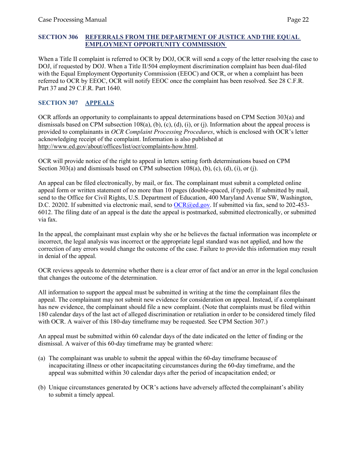### <span id="page-21-0"></span>**SECTION 306 REFERRALS FROM THE DEPARTMENT OF JUSTICE AND THE EQUAL EMPLOYMENT OPPORTUNITY COMMISSION**

When a Title II complaint is referred to OCR by DOJ, OCR will send a copy of the letter resolving the case to DOJ, if requested by DOJ. When a Title II/504 employment discrimination complaint has been dual-filed with the Equal Employment Opportunity Commission (EEOC) and OCR, or when a complaint has been referred to OCR by EEOC, OCR will notify EEOC once the complaint has been resolved. See 28 C.F.R. Part 37 and 29 C.F.R. Part 1640.

### <span id="page-21-1"></span>**SECTION 307 APPEALS**

OCR affords an opportunity to complainants to appeal determinations based on CPM Section 303(a) and dismissals based on CPM subsection 108(a), (b), (c), (d), (i), or (j). Information about the appeal process is provided to complainants in *OCR Complaint Processing Procedures*, which is enclosed with OCR's letter acknowledging receipt of the complaint. Information is also published at http://www.ed.gov/about/offices/list/ocr/complaints-how.html.

OCR will provide notice of the right to appeal in letters setting forth determinations based on CPM Section 303(a) and dismissals based on CPM subsection 108(a), (b), (c), (d), (i), or (j).

An appeal can be filed electronically, by mail, or fax. The complainant must submit a completed online appeal form or written statement of no more than 10 pages (double-spaced, if typed). If submitted by mail, send to the Office for Civil Rights, U.S. Department of Education, 400 Maryland Avenue SW, Washington, D.C. 20202. If submitted via electronic mail, send to [OCR@ed.gov.](mailto:OCR@ed.gov) If submitted via fax, send to 202-453-6012. The filing date of an appeal is the date the appeal is postmarked, submitted electronically, or submitted via fax.

In the appeal, the complainant must explain why she or he believes the factual information was incomplete or incorrect, the legal analysis was incorrect or the appropriate legal standard was not applied, and how the correction of any errors would change the outcome of the case. Failure to provide this information may result in denial of the appeal.

OCR reviews appeals to determine whether there is a clear error of fact and/or an error in the legal conclusion that changes the outcome of the determination.

All information to support the appeal must be submitted in writing at the time the complainant files the appeal. The complainant may not submit new evidence for consideration on appeal. Instead, if a complainant has new evidence, the complainant should file a new complaint. (Note that complaints must be filed within 180 calendar days of the last act of alleged discrimination or retaliation in order to be considered timely filed with OCR. A waiver of this 180-day timeframe may be requested. See CPM Section 307.)

An appeal must be submitted within 60 calendar days of the date indicated on the letter of finding or the dismissal. A waiver of this 60-day timeframe may be granted where:

- (a) The complainant was unable to submit the appeal within the 60-day timeframe because of incapacitating illness or other incapacitating circumstances during the 60-day timeframe, and the appeal was submitted within 30 calendar days after the period of incapacitation ended; or
- (b) Unique circumstances generated by OCR's actions have adversely affected the complainant's ability to submit a timely appeal.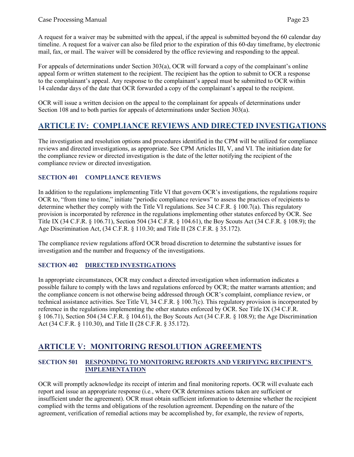A request for a waiver may be submitted with the appeal, if the appeal is submitted beyond the 60 calendar day timeline. A request for a waiver can also be filed prior to the expiration of this 60-day timeframe, by electronic mail, fax, or mail. The waiver will be considered by the office reviewing and responding to the appeal.

For appeals of determinations under Section 303(a), OCR will forward a copy of the complainant's online appeal form or written statement to the recipient. The recipient has the option to submit to OCR a response to the complainant's appeal. Any response to the complainant's appeal must be submitted to OCR within 14 calendar days of the date that OCR forwarded a copy of the complainant's appeal to the recipient.

OCR will issue a written decision on the appeal to the complainant for appeals of determinations under Section 108 and to both parties for appeals of determinations under Section 303(a).

### <span id="page-22-0"></span>**ARTICLE IV: COMPLIANCE REVIEWS AND DIRECTED INVESTIGATIONS**

The investigation and resolution options and procedures identified in the CPM will be utilized for compliance reviews and directed investigations, as appropriate. See CPM Articles III, V, and VI. The initiation date for the compliance review or directed investigation is the date of the letter notifying the recipient of the compliance review or directed investigation.

### <span id="page-22-1"></span>**SECTION 401 COMPLIANCE REVIEWS**

In addition to the regulations implementing Title VI that govern OCR's investigations, the regulations require OCR to, "from time to time," initiate "periodic compliance reviews" to assess the practices of recipients to determine whether they comply with the Title VI regulations. See 34 C.F.R. § 100.7(a). This regulatory provision is incorporated by reference in the regulations implementing other statutes enforced by OCR. See Title IX (34 C.F.R. § 106.71), Section 504 (34 C.F.R. § 104.61), the Boy Scouts Act (34 C.F.R. § 108.9); the Age Discrimination Act, (34 C.F.R. § 110.30; and Title II (28 C.F.R. § 35.172).

The compliance review regulations afford OCR broad discretion to determine the substantive issues for investigation and the number and frequency of the investigations.

### <span id="page-22-2"></span>**SECTION 402 DIRECTED INVESTIGATIONS**

In appropriate circumstances, OCR may conduct a directed investigation when information indicates a possible failure to comply with the laws and regulations enforced by OCR; the matter warrants attention; and the compliance concern is not otherwise being addressed through OCR's complaint, compliance review, or technical assistance activities. See Title VI, 34 C.F.R. § 100.7(c). This regulatory provision is incorporated by reference in the regulations implementing the other statutes enforced by OCR. See Title IX (34 C.F.R. § 106.71), Section 504 (34 C.F.R. § 104.61), the Boy Scouts Act (34 C.F.R. § 108.9); the Age Discrimination Act (34 C.F.R. § 110.30), and Title II (28 C.F.R. § 35.172).

### <span id="page-22-3"></span>**ARTICLE V: MONITORING RESOLUTION AGREEMENTS**

### <span id="page-22-4"></span>**SECTION 501 RESPONDING TO MONITORING REPORTS AND VERIFYING RECIPIENT'S IMPLEMENTATION**

OCR will promptly acknowledge its receipt of interim and final monitoring reports. OCR will evaluate each report and issue an appropriate response (i.e*.*, where OCR determines actions taken are sufficient or insufficient under the agreement). OCR must obtain sufficient information to determine whether the recipient complied with the terms and obligations of the resolution agreement. Depending on the nature of the agreement, verification of remedial actions may be accomplished by, for example, the review of reports,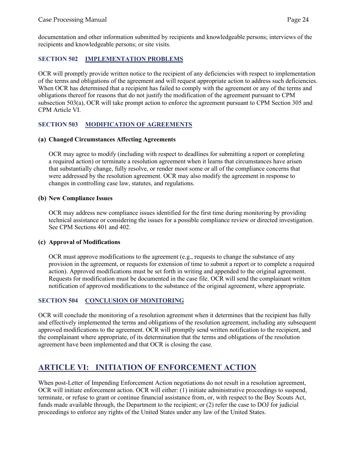documentation and other information submitted by recipients and knowledgeable persons; interviews of the recipients and knowledgeable persons; or site visits.

### <span id="page-23-0"></span>**SECTION 502 IMPLEMENTATION PROBLEMS**

OCR will promptly provide written notice to the recipient of any deficiencies with respect to implementation of the terms and obligations of the agreement and will request appropriate action to address such deficiencies. When OCR has determined that a recipient has failed to comply with the agreement or any of the terms and obligations thereof for reasons that do not justify the modification of the agreement pursuant to CPM subsection 503(a), OCR will take prompt action to enforce the agreement pursuant to CPM Section 305 and CPM Article VI.

### <span id="page-23-1"></span>**SECTION 503 MODIFICATION OF AGREEMENTS**

### <span id="page-23-2"></span>**(a) Changed Circumstances Affecting Agreements**

OCR may agree to modify (including with respect to deadlines for submitting a report or completing a required action) or terminate a resolution agreement when it learns that circumstances have arisen that substantially change, fully resolve, or render moot some or all of the compliance concerns that were addressed by the resolution agreement. OCR may also modify the agreement in response to changes in controlling case law, statutes, and regulations.

### <span id="page-23-3"></span>**(b) New Compliance Issues**

OCR may address new compliance issues identified for the first time during monitoring by providing technical assistance or considering the issues for a possible compliance review or directed investigation. See CPM Sections 401 and 402.

### <span id="page-23-4"></span>**(c) Approval of Modifications**

OCR must approve modifications to the agreement (e.g., requests to change the substance of any provision in the agreement, or requests for extension of time to submit a report or to complete a required action). Approved modifications must be set forth in writing and appended to the original agreement. Requests for modification must be documented in the case file. OCR will send the complainant written notification of approved modifications to the substance of the original agreement, where appropriate.

### <span id="page-23-5"></span>**SECTION 504 CONCLUSION OF MONITORING**

OCR will conclude the monitoring of a resolution agreement when it determines that the recipient has fully and effectively implemented the terms and obligations of the resolution agreement, including any subsequent approved modifications to the agreement. OCR will promptly send written notification to the recipient, and the complainant where appropriate, of its determination that the terms and obligations of the resolution agreement have been implemented and that OCR is closing the case.

### <span id="page-23-6"></span>**ARTICLE VI: INITIATION OF ENFORCEMENT ACTION**

When post-Letter of Impending Enforcement Action negotiations do not result in a resolution agreement, OCR will initiate enforcement action. OCR will either: (1) initiate administrative proceedings to suspend, terminate, or refuse to grant or continue financial assistance from, or, with respect to the Boy Scouts Act, funds made available through, the Department to the recipient; or (2) refer the case to DOJ for judicial proceedings to enforce any rights of the United States under any law of the United States.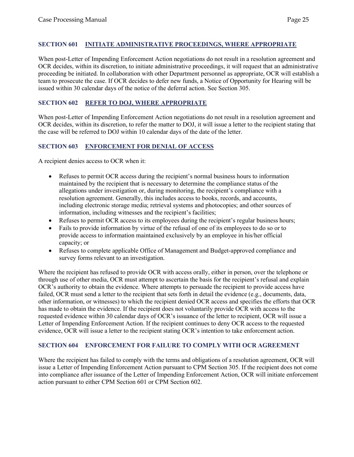### <span id="page-24-0"></span>**SECTION 601 INITIATE ADMINISTRATIVE PROCEEDINGS, WHERE APPROPRIATE**

When post-Letter of Impending Enforcement Action negotiations do not result in a resolution agreement and OCR decides, within its discretion, to initiate administrative proceedings, it will request that an administrative proceeding be initiated. In collaboration with other Department personnel as appropriate, OCR will establish a team to prosecute the case. If OCR decides to defer new funds, a Notice of Opportunity for Hearing will be issued within 30 calendar days of the notice of the deferral action. See Section 305.

### <span id="page-24-1"></span>**SECTION 602 REFER TO DOJ, WHERE APPROPRIATE**

When post-Letter of Impending Enforcement Action negotiations do not result in a resolution agreement and OCR decides, within its discretion, to refer the matter to DOJ, it will issue a letter to the recipient stating that the case will be referred to DOJ within 10 calendar days of the date of the letter.

### <span id="page-24-2"></span>**SECTION 603 ENFORCEMENT FOR DENIAL OF ACCESS**

A recipient denies access to OCR when it:

- Refuses to permit OCR access during the recipient's normal business hours to information maintained by the recipient that is necessary to determine the compliance status of the allegations under investigation or, during monitoring, the recipient's compliance with a resolution agreement. Generally, this includes access to books, records, and accounts, including electronic storage media; retrieval systems and photocopies; and other sources of information, including witnesses and the recipient's facilities;
- Refuses to permit OCR access to its employees during the recipient's regular business hours;
- Fails to provide information by virtue of the refusal of one of its employees to do so or to provide access to information maintained exclusively by an employee in his/her official capacity; or
- Refuses to complete applicable Office of Management and Budget-approved compliance and survey forms relevant to an investigation.

Where the recipient has refused to provide OCR with access orally, either in person, over the telephone or through use of other media, OCR must attempt to ascertain the basis for the recipient's refusal and explain OCR's authority to obtain the evidence. Where attempts to persuade the recipient to provide access have failed, OCR must send a letter to the recipient that sets forth in detail the evidence (e.g., documents, data, other information, or witnesses) to which the recipient denied OCR access and specifies the efforts that OCR has made to obtain the evidence. If the recipient does not voluntarily provide OCR with access to the requested evidence within 30 calendar days of OCR's issuance of the letter to recipient, OCR will issue a Letter of Impending Enforcement Action. If the recipient continues to deny OCR access to the requested evidence, OCR will issue a letter to the recipient stating OCR's intention to take enforcement action.

### <span id="page-24-3"></span>**SECTION 604 ENFORCEMENT FOR FAILURE TO COMPLY WITH OCR AGREEMENT**

Where the recipient has failed to comply with the terms and obligations of a resolution agreement, OCR will issue a Letter of Impending Enforcement Action pursuant to CPM Section 305. If the recipient does not come into compliance after issuance of the Letter of Impending Enforcement Action, OCR will initiate enforcement action pursuant to either CPM Section 601 or CPM Section 602.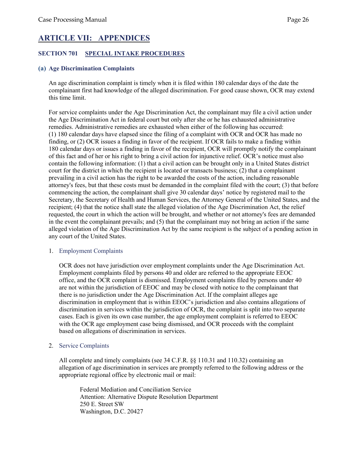### <span id="page-25-0"></span>**ARTICLE VII: APPENDICES**

### <span id="page-25-1"></span>**SECTION 701 SPECIAL INTAKE PROCEDURES**

#### <span id="page-25-2"></span>**(a) Age Discrimination Complaints**

An age discrimination complaint is timely when it is filed within 180 calendar days of the date the complainant first had knowledge of the alleged discrimination. For good cause shown, OCR may extend this time limit.

For service complaints under the Age Discrimination Act, the complainant may file a civil action under the Age Discrimination Act in federal court but only after she or he has exhausted administrative remedies. Administrative remedies are exhausted when either of the following has occurred: (1) 180 calendar days have elapsed since the filing of a complaint with OCR and OCR has made no finding, or (2) OCR issues a finding in favor of the recipient. If OCR fails to make a finding within 180 calendar days or issues a finding in favor of the recipient, OCR will promptly notify the complainant of this fact and of her or his right to bring a civil action for injunctive relief. OCR's notice must also contain the following information: (1) that a civil action can be brought only in a United States district court for the district in which the recipient is located or transacts business; (2) that a complainant prevailing in a civil action has the right to be awarded the costs of the action, including reasonable attorney's fees, but that these costs must be demanded in the complaint filed with the court; (3) that before commencing the action, the complainant shall give 30 calendar days' notice by registered mail to the Secretary, the Secretary of Health and Human Services, the Attorney General of the United States, and the recipient; (4) that the notice shall state the alleged violation of the Age Discrimination Act, the relief requested, the court in which the action will be brought, and whether or not attorney's fees are demanded in the event the complainant prevails; and (5) that the complainant may not bring an action if the same alleged violation of the Age Discrimination Act by the same recipient is the subject of a pending action in any court of the United States.

#### 1. Employment Complaints

OCR does not have jurisdiction over employment complaints under the Age Discrimination Act. Employment complaints filed by persons 40 and older are referred to the appropriate EEOC office, and the OCR complaint is dismissed. Employment complaints filed by persons under 40 are not within the jurisdiction of EEOC and may be closed with notice to the complainant that there is no jurisdiction under the Age Discrimination Act. If the complaint alleges age discrimination in employment that is within EEOC's jurisdiction and also contains allegations of discrimination in services within the jurisdiction of OCR, the complaint is split into two separate cases. Each is given its own case number, the age employment complaint is referred to EEOC with the OCR age employment case being dismissed, and OCR proceeds with the complaint based on allegations of discrimination in services.

2. Service Complaints

All complete and timely complaints (see 34 C.F.R. §§ 110.31 and 110.32) containing an allegation of age discrimination in services are promptly referred to the following address or the appropriate regional office by electronic mail or mail:

Federal Mediation and Conciliation Service Attention: Alternative Dispute Resolution Department 250 E. Street SW Washington, D.C. 20427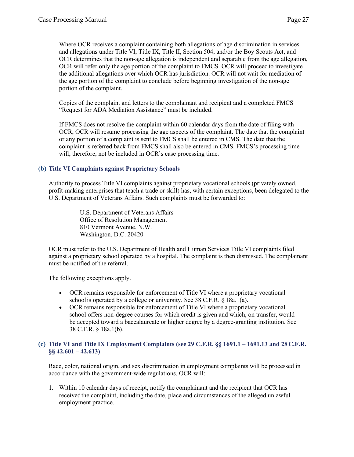Where OCR receives a complaint containing both allegations of age discrimination in services and allegations under Title VI, Title IX, Title II, Section 504, and/or the Boy Scouts Act, and OCR determines that the non-age allegation is independent and separable from the age allegation, OCR will refer only the age portion of the complaint to FMCS. OCR will proceed to investigate the additional allegations over which OCR has jurisdiction. OCR will not wait for mediation of the age portion of the complaint to conclude before beginning investigation of the non-age portion of the complaint.

Copies of the complaint and letters to the complainant and recipient and a completed FMCS "Request for ADA Mediation Assistance" must be included.

If FMCS does not resolve the complaint within 60 calendar days from the date of filing with OCR, OCR will resume processing the age aspects of the complaint. The date that the complaint or any portion of a complaint is sent to FMCS shall be entered in CMS. The date that the complaint is referred back from FMCS shall also be entered in CMS. FMCS's processing time will, therefore, not be included in OCR's case processing time.

### <span id="page-26-0"></span>**(b) Title VI Complaints against Proprietary Schools**

Authority to process Title VI complaints against proprietary vocational schools (privately owned, profit-making enterprises that teach a trade or skill) has, with certain exceptions, been delegated to the U.S. Department of Veterans Affairs. Such complaints must be forwarded to:

> U.S. Department of Veterans Affairs Office of Resolution Management 810 Vermont Avenue, N.W. Washington, D.C. 20420

OCR must refer to the U.S. Department of Health and Human Services Title VI complaints filed against a proprietary school operated by a hospital. The complaint is then dismissed. The complainant must be notified of the referral.

The following exceptions apply.

- OCR remains responsible for enforcement of Title VI where a proprietary vocational schoolis operated by a college or university. See 38 C.F.R. § 18a.1(a).
- OCR remains responsible for enforcement of Title VI where a proprietary vocational school offers non-degree courses for which credit is given and which, on transfer, would be accepted toward a baccalaureate or higher degree by a degree-granting institution. See 38 C.F.R. § 18a.1(b).

### <span id="page-26-1"></span>**(c) Title VI and Title IX Employment Complaints (see 29 C.F.R. §§ 1691.1 – 1691.13 and 28 C.F.R. §§ 42.601 – 42.613)**

Race, color, national origin, and sex discrimination in employment complaints will be processed in accordance with the government-wide regulations. OCR will:

1. Within 10 calendar days of receipt, notify the complainant and the recipient that OCR has received the complaint, including the date, place and circumstances of the alleged unlawful employment practice.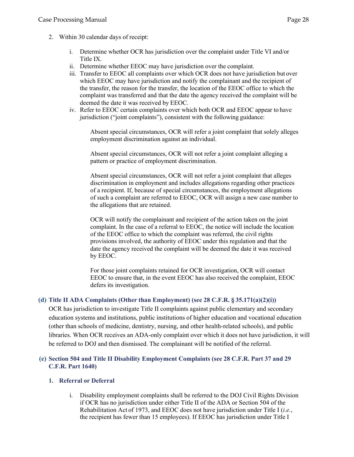- 2. Within 30 calendar days of receipt:
	- i. Determine whether OCR has jurisdiction over the complaint under Title VI and/or Title IX.
	- ii. Determine whether EEOC may have jurisdiction over the complaint.
	- iii. Transfer to EEOC all complaints over which OCR does not have jurisdiction but over which EEOC may have jurisdiction and notify the complainant and the recipient of the transfer, the reason for the transfer, the location of the EEOC office to which the complaint was transferred and that the date the agency received the complaint will be deemed the date it was received by EEOC.
	- iv. Refer to EEOC certain complaints over which both OCR and EEOC appear to have jurisdiction ("joint complaints"), consistent with the following guidance:

Absent special circumstances, OCR will refer a joint complaint that solely alleges employment discrimination against an individual.

Absent special circumstances, OCR will not refer a joint complaint alleging a pattern or practice of employment discrimination.

Absent special circumstances, OCR will not refer a joint complaint that alleges discrimination in employment and includes allegations regarding other practices of a recipient. If, because of special circumstances, the employment allegations of such a complaint are referred to EEOC, OCR will assign a new case number to the allegations that are retained.

OCR will notify the complainant and recipient of the action taken on the joint complaint. In the case of a referral to EEOC, the notice will include the location of the EEOC office to which the complaint was referred, the civil rights provisions involved, the authority of EEOC under this regulation and that the date the agency received the complaint will be deemed the date it was received by EEOC.

For those joint complaints retained for OCR investigation, OCR will contact EEOC to ensure that, in the event EEOC has also received the complaint, EEOC defers its investigation.

### <span id="page-27-0"></span>**(d) Title II ADA Complaints (Other than Employment) (see 28 C.F.R. § 35.171(a)(2)(i))**

OCR has jurisdiction to investigate Title II complaints against public elementary and secondary education systems and institutions, public institutions of higher education and vocational education (other than schools of medicine, dentistry, nursing, and other health-related schools), and public libraries. When OCR receives an ADA-only complaint over which it does not have jurisdiction, it will be referred to DOJ and then dismissed. The complainant will be notified of the referral.

### <span id="page-27-1"></span>**(e) Section 504 and Title II Disability Employment Complaints (see 28 C.F.R. Part 37 and 29 C.F.R. Part 1640)**

### **1. Referral or Deferral**

i. Disability employment complaints shall be referred to the DOJ Civil Rights Division if OCR has no jurisdiction under either Title II of the ADA or Section 504 of the Rehabilitation Act of 1973, and EEOC does not have jurisdiction under Title I (*i.e.*, the recipient has fewer than 15 employees). If EEOC has jurisdiction under Title I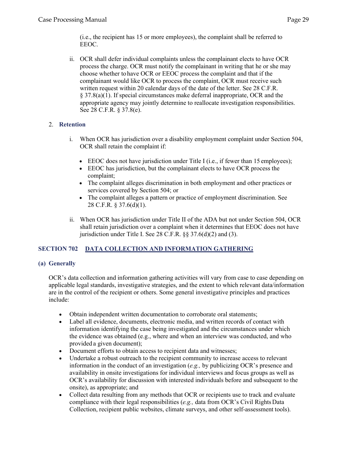(i.e., the recipient has 15 or more employees), the complaint shall be referred to EEOC.

ii. OCR shall defer individual complaints unless the complainant elects to have OCR process the charge. OCR must notify the complainant in writing that he or she may choose whether tohave OCR or EEOC process the complaint and that if the complainant would like OCR to process the complaint, OCR must receive such written request within 20 calendar days of the date of the letter. See 28 C.F.R. § 37.8(a)(1). If special circumstances make deferral inappropriate, OCR and the appropriate agency may jointly determine to reallocate investigation responsibilities. See 28 C.F.R. § 37.8(e).

### 2. **Retention**

- i. When OCR has jurisdiction over a disability employment complaint under Section 504, OCR shall retain the complaint if:
	- EEOC does not have jurisdiction under Title I (i.e., if fewer than 15 employees);
	- EEOC has jurisdiction, but the complainant elects to have OCR process the complaint;
	- The complaint alleges discrimination in both employment and other practices or services covered by Section 504; or
	- The complaint alleges a pattern or practice of employment discrimination. See 28 C.F.R. § 37.6(d)(1).
- ii. When OCR has jurisdiction under Title II of the ADA but not under Section 504, OCR shall retain jurisdiction over a complaint when it determines that EEOC does not have jurisdiction under Title I. See 28 C.F.R. §§ 37.6(d)(2) and (3).

### <span id="page-28-0"></span>**SECTION 702 DATA COLLECTION AND INFORMATION GATHERING**

### <span id="page-28-1"></span>**(a) Generally**

OCR's data collection and information gathering activities will vary from case to case depending on applicable legal standards, investigative strategies, and the extent to which relevant data/information are in the control of the recipient or others. Some general investigative principles and practices include:

- Obtain independent written documentation to corroborate oral statements;
- Label all evidence, documents, electronic media, and written records of contact with information identifying the case being investigated and the circumstances under which the evidence was obtained (e.g., where and when an interview was conducted, and who provided a given document);
- Document efforts to obtain access to recipient data and witnesses;
- Undertake a robust outreach to the recipient community to increase access to relevant information in the conduct of an investigation (*e.g.,* by publicizing OCR's presence and availability in onsite investigations for individual interviews and focus groups as well as OCR's availability for discussion with interested individuals before and subsequent to the onsite), as appropriate; and
- Collect data resulting from any methods that OCR or recipients use to track and evaluate compliance with their legal responsibilities (*e.g.,* data from OCR's Civil RightsData Collection, recipient public websites, climate surveys, and other self-assessment tools).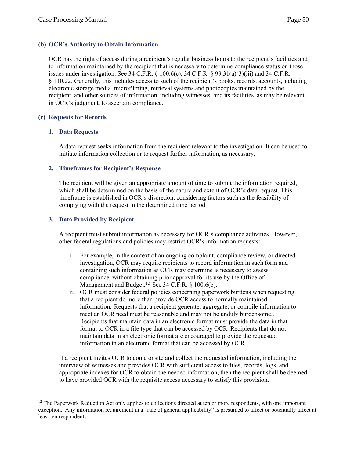### <span id="page-29-0"></span>**(b) OCR's Authority to Obtain Information**

OCR has the right of access during a recipient's regular business hours to the recipient's facilities and to information maintained by the recipient that is necessary to determine compliance status on those issues under investigation. See 34 C.F.R.  $\S$  100.6(c), 34 C.F.R.  $\S$  99.31(a)(3)(iii) and 34 C.F.R. § 110.22. Generally, this includes access to such of the recipient's books, records, accounts,including electronic storage media, microfilming, retrieval systems and photocopies maintained by the recipient, and other sources of information, including witnesses, and its facilities, as may be relevant, in OCR's judgment, to ascertain compliance.

### <span id="page-29-1"></span>**(c) Requests for Records**

### **1. Data Requests**

A data request seeks information from the recipient relevant to the investigation. It can be used to initiate information collection or to request further information, as necessary.

### **2. Timeframes for Recipient's Response**

The recipient will be given an appropriate amount of time to submit the information required, which shall be determined on the basis of the nature and extent of OCR's data request. This timeframe is established in OCR's discretion, considering factors such as the feasibility of complying with the request in the determined time period.

### **3. Data Provided by Recipient**

A recipient must submit information as necessary for OCR's compliance activities. However, other federal regulations and policies may restrict OCR's information requests:

- i. For example, in the context of an ongoing complaint, compliance review, or directed investigation, OCR may require recipients to record information in such form and containing such information as OCR may determine is necessary to assess compliance, without obtaining prior approval for its use by the Office of Management and Budget.<sup>[12](#page-29-2)</sup> See 34 C.F.R. § 100.6(b).
- ii. OCR must consider federal policies concerning paperwork burdens when requesting that a recipient do more than provide OCR access to normally maintained information. Requests that a recipient generate, aggregate, or compile information to meet an OCR need must be reasonable and may not be unduly burdensome.. Recipients that maintain data in an electronic format must provide the data in that format to OCR in a file type that can be accessed by OCR. Recipients that do not maintain data in an electronic format are encouraged to provide the requested information in an electronic format that can be accessed by OCR.

If a recipient invites OCR to come onsite and collect the requested information, including the interview of witnesses and provides OCR with sufficient access to files, records, logs, and appropriate indexes for OCR to obtain the needed information, then the recipient shall be deemed to have provided OCR with the requisite access necessary to satisfy this provision.

<span id="page-29-2"></span><sup>&</sup>lt;sup>12</sup> The Paperwork Reduction Act only applies to collections directed at ten or more respondents, with one important exception. Any information requirement in a "rule of general applicability" is presumed to affect or potentially affect at least ten respondents.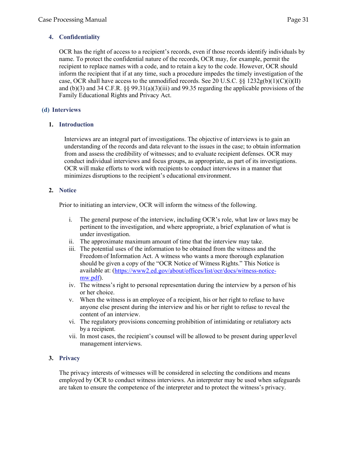### **4. Confidentiality**

OCR has the right of access to a recipient's records, even if those records identify individuals by name. To protect the confidential nature of the records, OCR may, for example, permit the recipient to replace names with a code, and to retain a key to the code. However, OCR should inform the recipient that if at any time, such a procedure impedes the timely investigation of the case, OCR shall have access to the unmodified records. See 20 U.S.C. §§ 1232g(b)(1)(C)(i)(II) and (b)(3) and 34 C.F.R.  $\S$  99.31(a)(3)(iii) and 99.35 regarding the applicable provisions of the Family Educational Rights and Privacy Act.

### <span id="page-30-0"></span>**(d) Interviews**

### **1. Introduction**

Interviews are an integral part of investigations. The objective of interviews is to gain an understanding of the records and data relevant to the issues in the case; to obtain information from and assess the credibility of witnesses; and to evaluate recipient defenses. OCR may conduct individual interviews and focus groups, as appropriate, as part of its investigations. OCR will make efforts to work with recipients to conduct interviews in a manner that minimizes disruptions to the recipient's educational environment.

### **2. Notice**

Prior to initiating an interview, OCR will inform the witness of the following.

- i. The general purpose of the interview, including OCR's role, what law or laws may be pertinent to the investigation, and where appropriate, a brief explanation of what is under investigation.
- ii. The approximate maximum amount of time that the interview may take.
- iii. The potential uses of the information to be obtained from the witness and the Freedomof Information Act. A witness who wants a more thorough explanation should be given a copy of the "OCR Notice of Witness Rights." This Notice is available at: [\(https://www2.ed.gov/about/offices/list/ocr/docs/witness-notice](https://www2.ed.gov/about/offices/list/ocr/docs/witness-notice-mw.pdf)[mw.pdf\)](https://www2.ed.gov/about/offices/list/ocr/docs/witness-notice-mw.pdf).
- iv. The witness's right to personal representation during the interview by a person of his or her choice.
- v. When the witness is an employee of a recipient, his or her right to refuse to have anyone else present during the interview and his or her right to refuse to reveal the content of an interview.
- vi. The regulatory provisions concerning prohibition of intimidating or retaliatory acts by a recipient.
- vii. In most cases, the recipient's counsel will be allowed to be present during upperlevel management interviews.

### **3. Privacy**

The privacy interests of witnesses will be considered in selecting the conditions and means employed by OCR to conduct witness interviews. An interpreter may be used when safeguards are taken to ensure the competence of the interpreter and to protect the witness's privacy.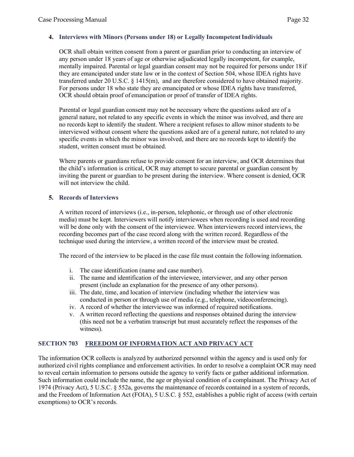### **4.** Interviews with Minors (Persons under 18) or Legally Incompetent Individuals

OCR shall obtain written consent from a parent or guardian prior to conducting an interview of any person under 18 years of age or otherwise adjudicated legally incompetent, for example, mentally impaired. Parental or legal guardian consent may not be required for persons under 18 if they are emancipated under state law or in the context of Section 504, whose IDEA rights have transferred under 20 U.S.C.  $\frac{1415(m)}{m}$ , and are therefore considered to have obtained majority. For persons under 18 who state they are emancipated or whose IDEA rights have transferred, OCR should obtain proof of emancipation or proof of transfer of IDEA rights.

Parental or legal guardian consent may not be necessary where the questions asked are of a general nature, not related to any specific events in which the minor was involved, and there are no records kept to identify the student. Where a recipient refuses to allow minor students to be interviewed without consent where the questions asked are of a general nature, not related to any specific events in which the minor was involved, and there are no records kept to identify the student, written consent must be obtained.

Where parents or guardians refuse to provide consent for an interview, and OCR determines that the child's information is critical, OCR may attempt to secure parental or guardian consent by inviting the parent or guardian to be present during the interview. Where consent is denied, OCR will not interview the child.

### **5. Records of Interviews**

A written record of interviews (i.e., in-person, telephonic, or through use of other electronic media) must be kept. Interviewers will notify interviewees when recording is used and recording will be done only with the consent of the interviewee. When interviewers record interviews, the recording becomes part of the case record along with the written record. Regardless of the technique used during the interview, a written record of the interview must be created.

The record of the interview to be placed in the case file must contain the following information.

- i. The case identification (name and case number).
- ii. The name and identification of the interviewee, interviewer, and any other person present (include an explanation for the presence of any other persons).
- iii. The date, time, and location of interview (including whether the interview was conducted in person or through use of media (e.g., telephone, videoconferencing).
- iv. A record of whether the interviewee was informed of required notifications.
- v. A written record reflecting the questions and responses obtained during the interview (this need not be a verbatim transcript but must accurately reflect the responses of the witness).

### <span id="page-31-0"></span>**SECTION 703 FREEDOM OF INFORMATION ACT AND PRIVACY ACT**

The information OCR collects is analyzed by authorized personnel within the agency and is used only for authorized civil rights compliance and enforcement activities. In order to resolve a complaint OCR may need to reveal certain information to persons outside the agency to verify facts or gather additional information. Such information could include the name, the age or physical condition of a complainant. The Privacy Act of 1974 (Privacy Act), 5 U.S.C. § 552a, governs the maintenance of records contained in a system of records, and the Freedom of Information Act (FOIA), 5 U.S.C. § 552, establishes a public right of access (with certain exemptions) to OCR's records.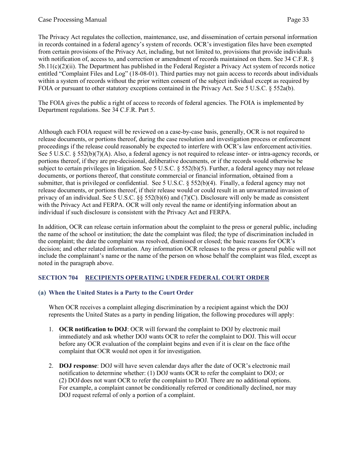The Privacy Act regulates the collection, maintenance, use, and dissemination of certain personal information in records contained in a federal agency's system of records. OCR's investigation files have been exempted from certain provisions of the Privacy Act, including, but not limited to, provisions that provide individuals with notification of, access to, and correction or amendment of records maintained on them. See 34 C.F.R. § 5b.11(c)(2)(ii). The Department has published in the Federal Register a Privacy Act system of records notice entitled "Complaint Files and Log" (18-08-01). Third parties may not gain access to records about individuals within a system of records without the prior written consent of the subject individual except as required by FOIA or pursuant to other statutory exceptions contained in the Privacy Act. See 5 U.S.C. § 552a(b).

The FOIA gives the public a right of access to records of federal agencies. The FOIA is implemented by Department regulations. See 34 C.F.R. Part 5.

Although each FOIA request will be reviewed on a case-by-case basis, generally, OCR is not required to release documents, or portions thereof, during the case resolution and investigation process or enforcement proceedings if the release could reasonably be expected to interfere with OCR's law enforcement activities. See 5 U.S.C. § 552(b)(7)(A). Also, a federal agency is not required to release inter- or intra-agency records, or portions thereof, if they are pre-decisional, deliberative documents, or if the records would otherwise be subject to certain privileges in litigation. See 5 U.S.C. § 552(b)(5). Further, a federal agency may not release documents, or portions thereof, that constitute commercial or financial information, obtained from a submitter, that is privileged or confidential. See 5 U.S.C. § 552(b)(4). Finally, a federal agency may not release documents, or portions thereof, if their release would or could result in an unwarranted invasion of privacy of an individual. See 5 U.S.C. §§ 552(b)(6) and (7)(C). Disclosure will only be made as consistent with the Privacy Act and FERPA. OCR will only reveal the name or identifying information about an individual if such disclosure is consistent with the Privacy Act and FERPA.

In addition, OCR can release certain information about the complaint to the press or general public, including the name of the school or institution; the date the complaint was filed; the type of discrimination included in the complaint; the date the complaint was resolved, dismissed or closed; the basic reasons for OCR's decision; and other related information. Any information OCR releases to the press or general public will not include the complainant's name or the name of the person on whose behalf the complaint was filed, except as noted in the paragraph above.

### <span id="page-32-0"></span>**SECTION 704 RECIPIENTS OPERATING UNDER FEDERAL COURT ORDER**

### <span id="page-32-1"></span>**(a) When the United States is a Party to the Court Order**

When OCR receives a complaint alleging discrimination by a recipient against which the DOJ represents the United States as a party in pending litigation, the following procedures will apply:

- 1. **OCR notification to DOJ**: OCR will forward the complaint to DOJ by electronic mail immediately and ask whether DOJ wants OCR to refer the complaint to DOJ. This will occur before any OCR evaluation of the complaint begins and even if it is clear on the face ofthe complaint that OCR would not open it for investigation.
- 2. **DOJ response**: DOJ will have seven calendar days after the date of OCR's electronic mail notification to determine whether: (1) DOJ wants OCR to refer the complaint to DOJ; or (2) DOJ does not want OCR to refer the complaint to DOJ. There are no additional options. For example, a complaint cannot be conditionally referred or conditionally declined, nor may DOJ request referral of only a portion of a complaint.